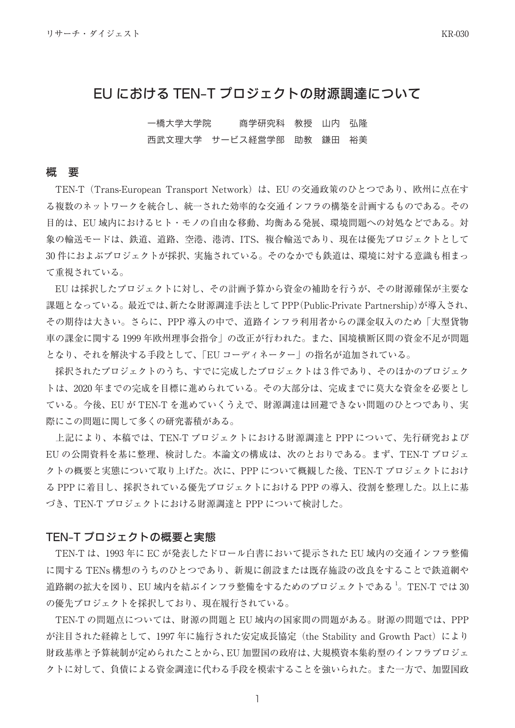# EU における TEN-T プロジェクトの財源調達について

一橋大学大学院 商学研究科 教授 山内 弘隆 西武文理大学 サービス経営学部 助教 鎌田 裕美

### 要 概

TEN-T (Trans-European Transport Network) は、EUの交通政策のひとつであり、欧州に点在す る複数のネットワークを統合し、統一された効率的な交通インフラの構築を計画するものである。その 目的は、EU 域内におけるヒト・モノの自由な移動、均衡ある発展、環境問題への対処などである。対 象の輸送モードは、鉄道、道路、空港、港湾、ITS、複合輸送であり、現在は優先プロジェクトとして 30件におよぶプロジェクトが採択、実施されている。そのなかでも鉄道は、環境に対する意識も相まっ 。て重視されている

EU は採択したプロジェクトに対し、その計画予算から資金の補助を行うが、その財源確保が主要な 課題となっている。最近では、新たな財源調達手法として PPP(Public-Private Partnership)が導入され、 その期待は大きい。さらに、PPP 導入の中で、道路インフラ利用者からの課金収入のため「大型貨物 車の課金に関する1999年欧州理事会指令」の改正が行われた。また、国境横断区間の資金不足が問題 となり、それを解決する手段として、「EU コーディネーター」の指名が追加されている。

採択されたプロジェクトのうち、すでに完成したプロジェクトは3件であり、そのほかのプロジェク トは、2020年までの完成を目標に進められている。その大部分は、完成までに莫大な資金を必要とし ている。今後、EUがTEN-Tを進めていくうえで、財源調達は回避できない問題のひとつであり、実 際にこの問題に関して多くの研究蓄積がある。

上記により、本稿では、TEN-T プロジェクトにおける財源調達と PPP について、先行研究および EUの公開資料を基に整理、検討した。本論文の構成は、次のとおりである。まず、TEN-T プロジェ クトの概要と実態について取り上げた。次に、PPPについて概観した後、TEN-T プロジェクトにおけ る PPP に着目し、採択されている優先プロジェクトにおける PPP の導入、役割を整理した。以上に基 づき、TEN-T プロジェクトにおける財源調達と PPP について検討した。

### TEN-T プロジェクトの概要と実態

TEN-T は、1993年に EC が発表したドロール白書において提示された EU 域内の交通インフラ整備 に関する TENs 構想のうちのひとつであり、新規に創設または既存施設の改良をすることで鉄道網や 道路網の拡大を図り、EU 域内を結ぶインフラ整備をするためのプロジェクトである $^1_\circ$  TEN-T では 30 の優先プロジェクトを採択しており、現在履行されている。

TEN-T の問題点については、財源の問題と EU 域内の国家間の問題がある。財源の問題では、PPP が注目された経緯として、1997年に施行された安定成長協定 (the Stability and Growth Pact) により 財政基準と予算統制が定められたことから、EU 加盟国の政府は、大規模資本集約型のインフラプロジェ クトに対して、負債による資金調達に代わる手段を模索することを強いられた。また一方で、加盟国政

 $\overline{1}$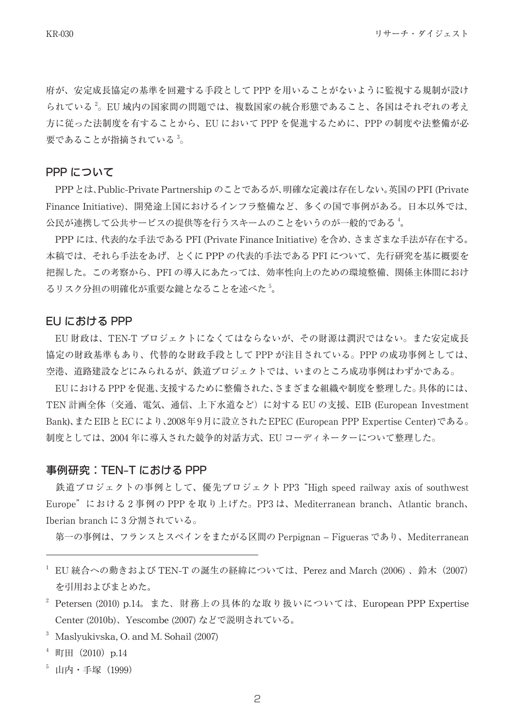府が、安定成長協定の基準を回避する手段として PPP を用いることがないように監視する規制が設け られている<sup>2</sup>。EU 域内の国家間の問題では、複数国家の統合形態であること、各国はそれぞれの考え 方に従った法制度を有することから、EU において PPP を促進するために、PPP の制度や法整備が必 要であることが指摘されている<sup>3</sup>。

## PPP について

PPPとは、Public-Private Partnership のことであるが、明確な定義は存在しない。英国のPFI (Private Finance Initiative)、開発途上国におけるインフラ整備など、多くの国で事例がある。日本以外では、 公民が連携して公共サービスの提供等を行うスキームのことをいうのが一般的である<sup>4</sup>。

- PPP には、 代表的な手法である PFI (Private Finance Initiative) を含め、 さまざまな手法が存在する。 本稿では、それら手法をあげ、とくに PPP の代表的手法である PFI について、先行研究を基に概要を 把握した。この考察から、PFIの導入にあたっては、効率性向上のための環境整備、関係主体間におけ 5 るリスク分担の明確化が重要な鍵となることを述べた 。

#### EU における PPP

EU 財政は、TEN-T プロジェクトになくてはならないが、その財源は潤沢ではない。また安定成長 協定の財政基準もあり、代替的な財政手段として PPP が注目されている。PPP の成功事例としては、 空港、道路建設などにみられるが、鉄道プロジェクトでは、いまのところ成功事例はわずかである。

EUにおけるPPPを促進、支援するために整備された、さまざまな組織や制度を整理した。具体的には、 TEN 計画全体 (交通、電気、通信、上下水道など) に対する EU の支援、EIB (European Investment Bank)、またEIBとECにより、2008年9月に設立されたEPEC (European PPP Expertise Center)である。 制度としては、2004年に導入された競争的対話方式、EU コーディネーターについて整理した。

### 事例研究:TEN-T における PPP

鉄道プロジェクトの事例として、優先プロジェクト PP3 "High speed railway axis of southwest Europe"における2事例の PPP を取り上げた。PP3 は、Mediterranean branch、Atlantic branch、 Iberian branch に3分割されている。

第一の事例は、フランスとスペインをまたがる区間の Perpignan - Figueras であり、Mediterranean

<sup>2</sup> Petersen (2010) p.14。また、財務上の具体的な取り扱いについては、European PPP Expertise Center (2010b)、Yescombe (2007) などで説明されている。

- $3$  Maslyukivska, O. and M. Sohail  $(2007)$
- $4$  町田 (2010) p.14
- $5$  山内·手塚 (1999)

 $^{-1}$  EU 統合への動きおよび TEN-T の誕生の経緯については、Perez and March (2006)、鈴木 (2007) 。を引用およびまとめた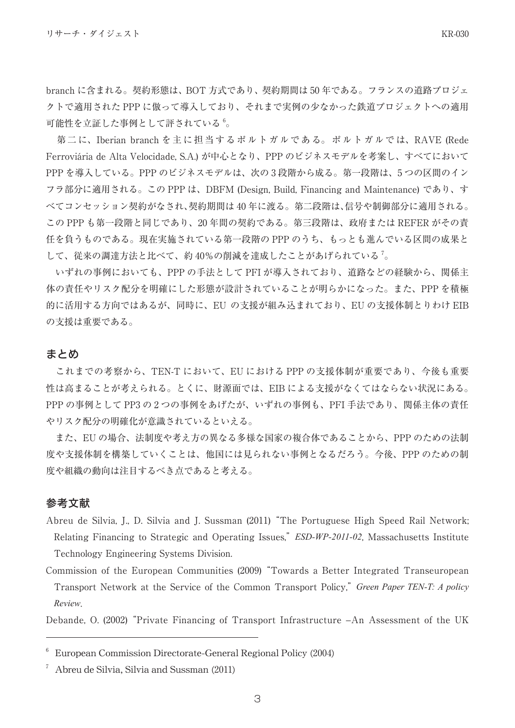可能性を立証した事例として評されている。

第二に、Iberian branch を主に担当するポルトガルである。ポルトガルでは、RAVE (Rede Ferroviária de Alta Velocidade, S.A.) が中心となり、PPP のビジネスモデルを考案し、すべてにおいて PPPを導入している。PPP のビジネスモデルは、次の3段階から成る。第一段階は、5つの区間のイン フラ部分に適用される。この PPP は、DBFM (Design, Build, Financing and Maintenance) であり、す べてコンセッション契約がなされ、契約期間は40年に渡る。第二段階は、信号や制御部分に適用される。 この PPP も第一段階と同じであり、20 年間の契約である。第三段階は、政府または REFER がその責 任を負うものである。現在実施されている第一段階の PPP のうち、もっとも進んでいる区間の成果と して、従来の調達方法と比べて、約40%の削減を達成したことがあげられている $^7$ 。

いずれの事例においても、PPP の手法として PFI が導入されており、道路などの経験から、関係主 体の責任やリスク配分を明確にした形態が設計されていることが明らかになった。また、PPPを積極 的に活用する方向ではあるが、同時に、EU の支援が組み込まれており、EU の支援体制とりわけ EIB の支援は重要である。

## まとめ

これまでの考察から、TEN-T において、EU における PPP の支援体制が重要であり、今後も重要 性は高まることが考えられる。とくに、財源面では、EIB による支援がなくてはならない状況にある。 PPP の事例として PP3 の2つの事例をあげたが、いずれの事例も、PFI 手法であり、関係主体の責任 やリスク配分の明確化が意識されているといえる。

また、EUの場合、法制度や考え方の異なる多様な国家の複合体であることから、PPP のための法制 度や支援体制を構築していくことは、他国には見られない事例となるだろう。今後、PPPのための制 度や組織の動向は注目するべき点であると考える。

# 参考文献

- Abreu de Silvia, J., D. Silvia and J. Sussman (2011) "The Portuguese High Speed Rail Network; Relating Financing to Strategic and Operating Issues,<sup>"</sup> *ESD-WP-2011-02*, Massachusetts Institute Technology Engineering Systems Division.
- Commission of the European Communities (2009) "Towards a Better Integrated Transeuropean *Transport Network at the Service of the Common Transport Policy. Green Paper TEN-T: A policy* .*Review*

Debande, O. (2002) "Private Financing of Transport Infrastructure  $-An$  Assessment of the UK

European Commission Directorate-General Regional Policy (2004)

Abreu de Silvia, Silvia and Sussman (2011)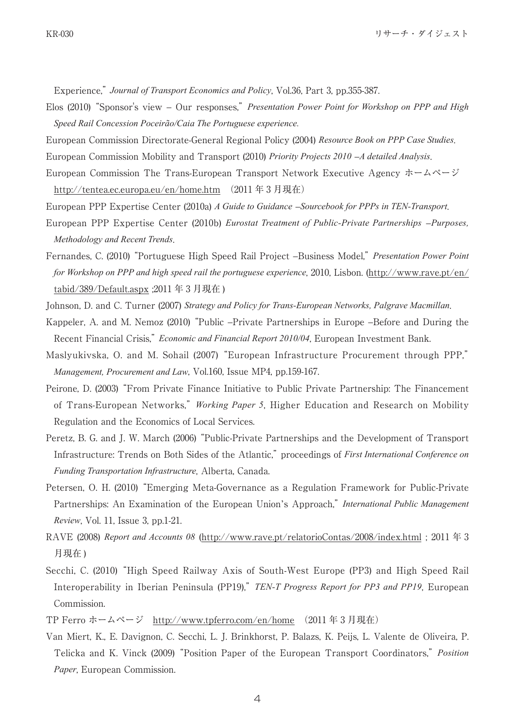Experience." Journal of Transport Economics and Policy, Vol.36, Part 3, pp.355-387.

- *Elos (2010)* "Sponsor's view Our responses," Presentation Power Point for Workshop on PPP and High Speed Rail Concession Poceirão/Caia The Portuguese experience.
- European Commission Directorate-General Regional Policy (2004) Resource Book on PPP Case Studies.
- European Commission Mobility and Transport (2010) *Priority Projects 2010 A detailed Analysis*,
- European Commission The Trans-European Transport Network Executive Agency  $\dot{x} \Delta \hat{v} \dot{v}$ http://tentea.ec.europa.eu/en/home.htm  $(2011 \n4 3 5 11)$
- European PPP Expertise Center (2010a) A Guide to Guidance *Sourcebook for PPPs in TEN-Transport*,
- European PPP Expertise Center (2010b) *Eurostat Treatment of Public-Private Partnerships -Purposes*. *Methodology* and Recent Trends.
- Fernandes, C. (2010) "Portuguese High Speed Rail Project -Business Model," Presentation Power Point for Workshop on PPP and high speed rail the portuguese experience, 2010, Lisbon. (http://www.rave.pt/en/ tabid/389/Default.aspx:  $2011 \n453$  月現在)
- Johnson, D. and C. Turner (2007) Strategy and Policy for Trans-European Networks, Palgrave Macmillan.
- Kappeler, A. and M. Nemoz (2010) "Public --Private Partnerships in Europe --Before and During the Recent Financial Crisis," *Economic and Financial Report 2010/04*, European Investment Bank.
- Maslyukivska, O. and M. Sohail (2007) "European Infrastructure Procurement through PPP," Management, Procurement and Law, Vol.160, Issue MP4, pp.159-167.
- Peirone, D. (2003) "From Private Finance Initiative to Public Private Partnership: The Financement of Trans-European Networks," *Working Paper 5*, Higher Education and Research on Mobility Regulation and the Economics of Local Services.
- Peretz, B. G. and J. W. March (2006) "Public-Private Partnerships and the Development of Transport Infrastructure: Trends on Both Sides of the Atlantic," proceedings of First International Conference on Funding Transportation Infrastructure, Alberta, Canada.
- Petersen, O. H. (2010) "Emerging Meta-Governance as a Regulation Framework for Public-Private Partnerships: An Examination of the European Union's Approach," International Public Management *Review, Vol. 11, Issue 3, pp.1-21.*
- RAVE (2008) Report and Accounts 08 (http://www.rave.pt/relatorioContas/2008/index.html; 2011年3 月現在)
- Secchi, C. (2010) "High Speed Railway Axis of South-West Europe (PP3) and High Speed Rail Interoperability in Iberian Peninsula (PP19)," TEN-T Progress Report for PP3 and PP19, European Commission.
- TP Ferro ホームページ http://www.tpferro.com/en/home (2011年3月現在)
- Van Miert, K., E. Davignon, C. Secchi, L. J. Brinkhorst, P. Balazs, K. Peijs, L. Valente de Oliveira, P. Telicka and K. Vinck (2009) "Position Paper of the European Transport Coordinators," Position Paper, European Commission.